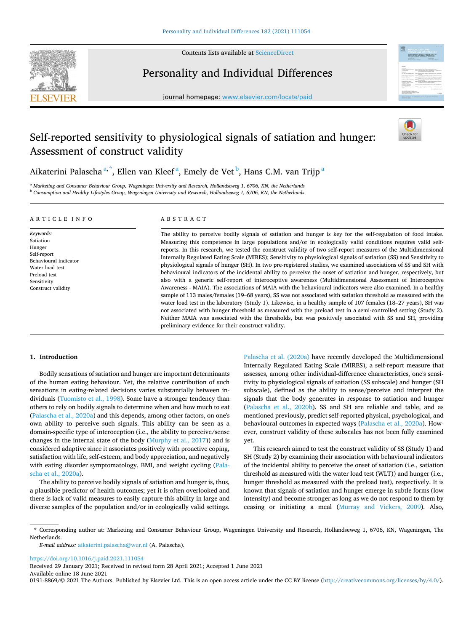

Contents lists available at [ScienceDirect](www.sciencedirect.com/science/journal/01918869)

# Personality and Individual Differences

journal homepage: [www.elsevier.com/locate/paid](https://www.elsevier.com/locate/paid)



# Self-reported sensitivity to physiological signals of satiation and hunger: Assessment of construct validity



Aikaterini Palascha $^{\mathrm{a},\mathrm{*}},$  Ellen van Kleef $^{\mathrm{a}},$  Emely de Vet $^{\mathrm{b}},$  Hans C.M. van Trijp $^{\mathrm{a}}$ 

<sup>a</sup> *Marketing and Consumer Behaviour Group, Wageningen University and Research, Hollandseweg 1, 6706, KN, the Netherlands* <sup>b</sup> *Consumption and Healthy Lifestyles Group, Wageningen University and Research, Hollandseweg 1, 6706, KN, the Netherlands* 

### ARTICLE INFO

*Keywords:*  Satiation Hunger Self-report Behavioural indicator Water load test Preload test Sensitivity Construct validity

# ABSTRACT

The ability to perceive bodily signals of satiation and hunger is key for the self-regulation of food intake. Measuring this competence in large populations and/or in ecologically valid conditions requires valid selfreports. In this research, we tested the construct validity of two self-report measures of the Multidimensional Internally Regulated Eating Scale (MIRES); Sensitivity to physiological signals of satiation (SS) and Sensitivity to physiological signals of hunger (SH). In two pre-registered studies, we examined associations of SS and SH with behavioural indicators of the incidental ability to perceive the onset of satiation and hunger, respectively, but also with a generic self-report of interoceptive awareness (Multidimensional Assessment of Interoceptive Awareness - MAIA). The associations of MAIA with the behavioural indicators were also examined. In a healthy sample of 113 males/females (19–68 years), SS was not associated with satiation threshold as measured with the water load test in the laboratory (Study 1). Likewise, in a healthy sample of 107 females (18–27 years), SH was not associated with hunger threshold as measured with the preload test in a semi-controlled setting (Study 2). Neither MAIA was associated with the thresholds, but was positively associated with SS and SH, providing preliminary evidence for their construct validity.

## **1. Introduction**

Bodily sensations of satiation and hunger are important determinants of the human eating behaviour. Yet, the relative contribution of such sensations in eating-related decisions varies substantially between individuals [\(Tuomisto et al., 1998](#page-11-0)). Some have a stronger tendency than others to rely on bodily signals to determine when and how much to eat ([Palascha et al., 2020a](#page-11-0)) and this depends, among other factors, on one's own ability to perceive such signals. This ability can be seen as a domain-specific type of interoception (i.e., the ability to perceive/sense changes in the internal state of the body ([Murphy et al., 2017\)](#page-11-0)) and is considered adaptive since it associates positively with proactive coping, satisfaction with life, self-esteem, and body appreciation, and negatively with eating disorder symptomatology, BMI, and weight cycling [\(Pala](#page-11-0)[scha et al., 2020a\)](#page-11-0).

The ability to perceive bodily signals of satiation and hunger is, thus, a plausible predictor of health outcomes; yet it is often overlooked and there is lack of valid measures to easily capture this ability in large and diverse samples of the population and/or in ecologically valid settings.

[Palascha et al. \(2020a\)](#page-11-0) have recently developed the Multidimensional Internally Regulated Eating Scale (MIRES), a self-report measure that assesses, among other individual-difference characteristics, one's sensitivity to physiological signals of satiation (SS subscale) and hunger (SH subscale), defined as the ability to sense/perceive and interpret the signals that the body generates in response to satiation and hunger ([Palascha et al., 2020b\)](#page-11-0). SS and SH are reliable and table, and as mentioned previously, predict self-reported physical, psychological, and behavioural outcomes in expected ways [\(Palascha et al., 2020a\)](#page-11-0). However, construct validity of these subscales has not been fully examined yet.

This research aimed to test the construct validity of SS (Study 1) and SH (Study 2) by examining their association with behavioural indicators of the incidental ability to perceive the onset of satiation (i.e., satiation threshold as measured with the water load test (WLT)) and hunger (i.e., hunger threshold as measured with the preload test), respectively. It is known that signals of satiation and hunger emerge in subtle forms (low intensity) and become stronger as long as we do not respond to them by ceasing or initiating a meal [\(Murray and Vickers, 2009](#page-11-0)). Also,

<https://doi.org/10.1016/j.paid.2021.111054>

Available online 18 June 2021 Received 29 January 2021; Received in revised form 28 April 2021; Accepted 1 June 2021

0191-8869/© 2021 The Authors. Published by Elsevier Ltd. This is an open access article under the CC BY license [\(http://creativecommons.org/licenses/by/4.0/\)](http://creativecommons.org/licenses/by/4.0/).

<sup>\*</sup> Corresponding author at: Marketing and Consumer Behaviour Group, Wageningen University and Research, Hollandseweg 1, 6706, KN, Wageningen, The Netherlands.

*E-mail address:* [aikaterini.palascha@wur.nl](mailto:aikaterini.palascha@wur.nl) (A. Palascha).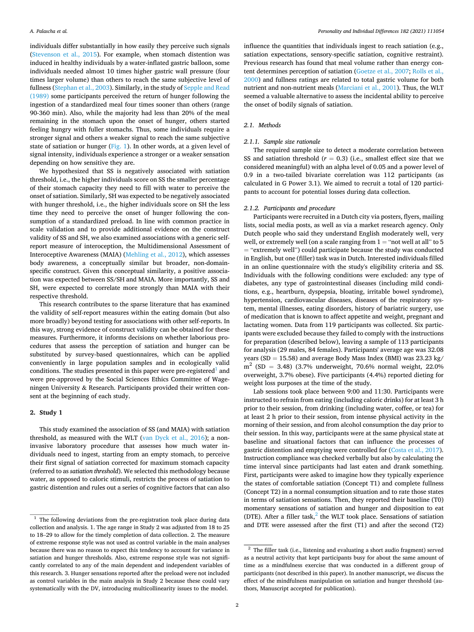individuals differ substantially in how easily they perceive such signals ([Stevenson et al., 2015\)](#page-11-0). For example, when stomach distention was induced in healthy individuals by a water-inflated gastric balloon, some individuals needed almost 10 times higher gastric wall pressure (four times larger volume) than others to reach the same subjective level of fullness ([Stephan et al., 2003\)](#page-11-0). Similarly, in the study of [Sepple and Read](#page-11-0)  [\(1989\)](#page-11-0) some participants perceived the return of hunger following the ingestion of a standardized meal four times sooner than others (range 90-360 min). Also, while the majority had less than 20% of the meal remaining in the stomach upon the onset of hunger, others started feeling hungry with fuller stomachs. Thus, some individuals require a stronger signal and others a weaker signal to reach the same subjective state of satiation or hunger ([Fig. 1\)](#page-2-0). In other words, at a given level of signal intensity, individuals experience a stronger or a weaker sensation depending on how sensitive they are.

We hypothesized that SS is negatively associated with satiation threshold, i.e., the higher individuals score on SS the smaller percentage of their stomach capacity they need to fill with water to perceive the onset of satiation. Similarly, SH was expected to be negatively associated with hunger threshold, i.e., the higher individuals score on SH the less time they need to perceive the onset of hunger following the consumption of a standardized preload. In line with common practice in scale validation and to provide additional evidence on the construct validity of SS and SH, we also examined associations with a generic selfreport measure of interoception, the Multidimensional Assessment of Interoceptive Awareness (MAIA) ([Mehling et al., 2012](#page-11-0)), which assesses body awareness, a conceptually similar but broader, non-domainspecific construct. Given this conceptual similarity, a positive association was expected between SS/SH and MAIA. More importantly, SS and SH, were expected to correlate more strongly than MAIA with their respective threshold.

This research contributes to the sparse literature that has examined the validity of self-report measures within the eating domain (but also more broadly) beyond testing for associations with other self-reports. In this way, strong evidence of construct validity can be obtained for these measures. Furthermore, it informs decisions on whether laborious procedures that assess the perception of satiation and hunger can be substituted by survey-based questionnaires, which can be applied conveniently in large population samples and in ecologically valid conditions. The studies presented in this paper were pre-registered<sup>1</sup> and were pre-approved by the Social Sciences Ethics Committee of Wageningen University & Research. Participants provided their written consent at the beginning of each study.

## **2. Study 1**

This study examined the association of SS (and MAIA) with satiation threshold, as measured with the WLT [\(van Dyck et al., 2016](#page-11-0)); a noninvasive laboratory procedure that assesses how much water individuals need to ingest, starting from an empty stomach, to perceive their first signal of satiation corrected for maximum stomach capacity (referred to as *satiation threshold*). We selected this methodology because water, as opposed to caloric stimuli, restricts the process of satiation to gastric distention and rules out a series of cognitive factors that can also

influence the quantities that individuals ingest to reach satiation (e.g., satiation expectations, sensory-specific satiation, cognitive restraint). Previous research has found that meal volume rather than energy content determines perception of satiation [\(Goetze et al., 2007](#page-10-0); [Rolls et al.,](#page-11-0)  [2000\)](#page-11-0) and fullness ratings are related to total gastric volume for both nutrient and non-nutrient meals ([Marciani et al., 2001\)](#page-11-0). Thus, the WLT seemed a valuable alternative to assess the incidental ability to perceive the onset of bodily signals of satiation.

# *2.1. Methods*

## *2.1.1. Sample size rationale*

The required sample size to detect a moderate correlation between SS and satiation threshold  $(r = 0.3)$  (i.e., smallest effect size that we considered meaningful) with an alpha level of 0.05 and a power level of 0.9 in a two-tailed bivariate correlation was 112 participants (as calculated in G Power 3.1). We aimed to recruit a total of 120 participants to account for potential losses during data collection.

#### *2.1.2. Participants and procedure*

Participants were recruited in a Dutch city via posters, flyers, mailing lists, social media posts, as well as via a market research agency. Only Dutch people who said they understand English moderately well, very well, or extremely well (on a scale ranging from  $1 =$  "not well at all" to 5 = "extremely well") could participate because the study was conducted in English, but one (filler) task was in Dutch. Interested individuals filled in an online questionnaire with the study's eligibility criteria and SS. Individuals with the following conditions were excluded: any type of diabetes, any type of gastrointestinal diseases (including mild conditions, e.g., heartburn, dyspepsia, bloating, irritable bowel syndrome), hypertension, cardiovascular diseases, diseases of the respiratory system, mental illnesses, eating disorders, history of bariatric surgery, use of medication that is known to affect appetite and weight, pregnant and lactating women. Data from 119 participants was collected. Six participants were excluded because they failed to comply with the instructions for preparation (described below), leaving a sample of 113 participants for analysis (29 males, 84 females). Participants' average age was 32.08 years (SD = 15.58) and average Body Mass Index (BMI) was  $23.23$  kg/  $m^{2}$  (SD = 3.48) (3.7% underweight, 70.6% normal weight, 22.0% overweight, 3.7% obese). Five participants (4.4%) reported dieting for weight loss purposes at the time of the study.

Lab sessions took place between 9:00 and 11:30. Participants were instructed to refrain from eating (including caloric drinks) for at least 3 h prior to their session, from drinking (including water, coffee, or tea) for at least 2 h prior to their session, from intense physical activity in the morning of their session, and from alcohol consumption the day prior to their session. In this way, participants were at the same physical state at baseline and situational factors that can influence the processes of gastric distention and emptying were controlled for ([Costa et al., 2017](#page-10-0)). Instruction compliance was checked verbally but also by calculating the time interval since participants had last eaten and drank something. First, participants were asked to imagine how they typically experience the states of comfortable satiation (Concept T1) and complete fullness (Concept T2) in a normal consumption situation and to rate those states in terms of satiation sensations. Then, they reported their baseline (T0) momentary sensations of satiation and hunger and disposition to eat (DTE). After a filler task, $^2$  the WLT took place. Sensations of satiation and DTE were assessed after the first (T1) and after the second (T2)

 $1$  The following deviations from the pre-registration took place during data collection and analysis. 1. The age range in Study 2 was adjusted from 18 to 25 to 18–29 to allow for the timely completion of data collection. 2. The measure of extreme response style was not used as control variable in the main analyses because there was no reason to expect this tendency to account for variance in satiation and hunger thresholds. Also, extreme response style was not significantly correlated to any of the main dependent and independent variables of this research. 3. Hunger sensations reported after the preload were not included as control variables in the main analysis in Study 2 because these could vary systematically with the DV, introducing multicollinearity issues to the model.

 $2$  The filler task (i.e., listening and evaluating a short audio fragment) served as a neutral activity that kept participants busy for about the same amount of time as a mindfulness exercise that was conducted in a different group of participants (not described in this paper). In another manuscript, we discuss the effect of the mindfulness manipulation on satiation and hunger threshold (authors, Manuscript accepted for publication).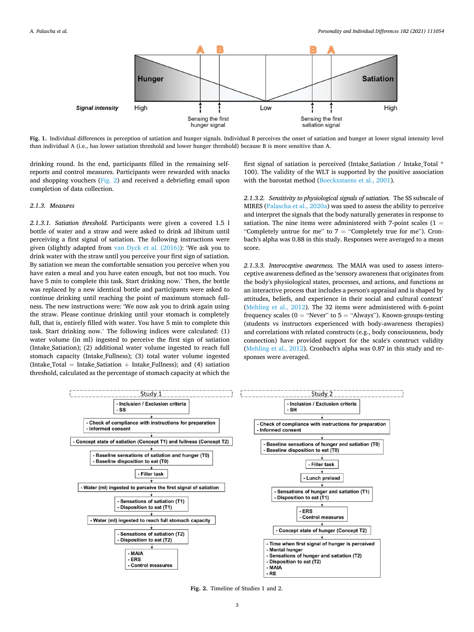<span id="page-2-0"></span>

**Fig. 1.** Individual differences in perception of satiation and hunger signals. Individual B perceives the onset of satiation and hunger at lower signal intensity level than individual A (i.e., has lower satiation threshold and lower hunger threshold) because B is more sensitive than A.

drinking round. In the end, participants filled in the remaining selfreports and control measures. Participants were rewarded with snacks and shopping vouchers (Fig. 2) and received a debriefing email upon completion of data collection.

#### *2.1.3. Measures*

*2.1.3.1. Satiation threshold.* Participants were given a covered 1.5 l bottle of water and a straw and were asked to drink ad libitum until perceiving a first signal of satiation. The following instructions were given (slightly adapted from [van Dyck et al. \(2016\)\)](#page-11-0): 'We ask you to drink water with the straw until you perceive your first sign of satiation. By satiation we mean the comfortable sensation you perceive when you have eaten a meal and you have eaten enough, but not too much. You have 5 min to complete this task. Start drinking now.' Then, the bottle was replaced by a new identical bottle and participants were asked to continue drinking until reaching the point of maximum stomach fullness. The new instructions were: 'We now ask you to drink again using the straw. Please continue drinking until your stomach is completely full, that is, entirely filled with water. You have 5 min to complete this task. Start drinking now.' The following indices were calculated: (1) water volume (in ml) ingested to perceive the first sign of satiation (Intake\_Satiation); (2) additional water volume ingested to reach full stomach capacity (Intake\_Fullness); (3) total water volume ingested (Intake Total = Intake Satiation + Intake Fullness); and (4) satiation threshold, calculated as the percentage of stomach capacity at which the

first signal of satiation is perceived (Intake\_Satiation / Intake\_Total \* 100). The validity of the WLT is supported by the positive association with the barostat method ([Boeckxstaens et al., 2001\)](#page-10-0).

*2.1.3.2. Sensitivity to physiological signals of satiation.* The SS subscale of MIRES [\(Palascha et al., 2020a](#page-11-0)) was used to assess the ability to perceive and interpret the signals that the body naturally generates in response to satiation. The nine items were administered with 7-point scales  $(1 =$ "Completely untrue for me" to  $7 =$  "Completely true for me"). Cronbach's alpha was 0.88 in this study. Responses were averaged to a mean score.

*2.1.3.3. Interoceptive awareness.* The MAIA was used to assess interoceptive awareness defined as the 'sensory awareness that originates from the body's physiological states, processes, and actions, and functions as an interactive process that includes a person's appraisal and is shaped by attitudes, beliefs, and experience in their social and cultural context' ([Mehling et al., 2012\)](#page-11-0). The 32 items were administered with 6-point frequency scales ( $0 =$  "Never" to  $5 =$  "Always"). Known-groups-testing (students vs instructors experienced with body-awareness therapies) and correlations with related constructs (e.g., body consciousness, body connection) have provided support for the scale's construct validity ([Mehling et al., 2012](#page-11-0)). Cronbach's alpha was 0.87 in this study and responses were averaged.



**Fig. 2.** Timeline of Studies 1 and 2.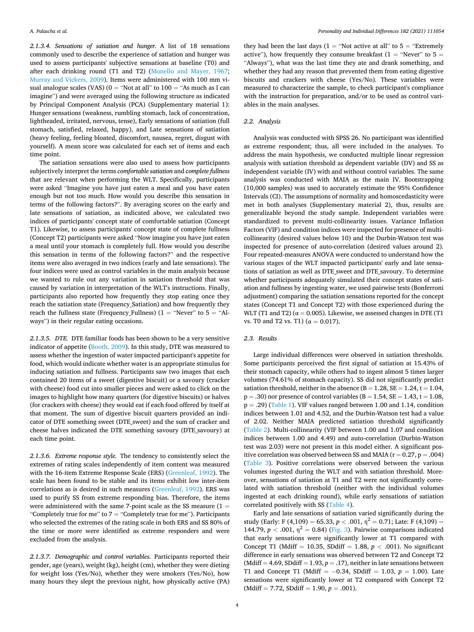*2.1.3.4. Sensations of satiation and hunger.* A list of 18 sensations commonly used to describe the experience of satiation and hunger was used to assess participants' subjective sensations at baseline (T0) and after each drinking round (T1 and T2) ([Monello and Mayer, 1967](#page-11-0); [Murray and Vickers, 2009\)](#page-11-0). Items were administered with 100 mm visual analogue scales (VAS) ( $0 =$  "Not at all" to  $100 =$  "As much as I can imagine") and were averaged using the following structure as indicated by Principal Component Analysis (PCA) (Supplementary material 1): Hunger sensations (weakness, rumbling stomach, lack of concentration, lightheaded, irritated, nervous, tense), Early sensations of satiation (full stomach, satisfied, relaxed, happy), and Late sensations of satiation (heavy feeling, feeling bloated, discomfort, nausea, regret, disgust with yourself). A mean score was calculated for each set of items and each time point.

The satiation sensations were also used to assess how participants subjectively interpret the terms *comfortable satiation* and *complete fullness*  that are relevant when performing the WLT. Specifically, participants were asked "Imagine you have just eaten a meal and you have eaten enough but not too much. How would you describe this sensation in terms of the following factors?". By averaging scores on the early and late sensations of satiation, as indicated above, we calculated two indices of participants' concept state of comfortable satiation (Concept T1). Likewise, to assess participants' concept state of complete fullness (Concept T2) participants were asked "Now imagine you have just eaten a meal until your stomach is completely full. How would you describe this sensation in terms of the following factors?" and the respective items were also averaged in two indices (early and late sensations). The four indices were used as control variables in the main analysis because we wanted to rule out any variation in satiation threshold that was caused by variation in interpretation of the WLT's instructions. Finally, participants also reported how frequently they stop eating once they reach the satiation state (Frequency\_Satiation) and how frequently they reach the fullness state (Frequency\_Fullness) ( $1 =$  "Never" to  $5 =$  "Always") in their regular eating occasions.

*2.1.3.5. DTE.* DTE familiar foods has been shown to be a very sensitive indicator of appetite [\(Booth, 2009](#page-10-0)). In this study, DTE was measured to assess whether the ingestion of water impacted participant's appetite for food, which would indicate whether water is an appropriate stimulus for inducing satiation and fullness. Participants saw two images that each contained 20 items of a sweet (digestive biscuit) or a savoury (cracker with cheese) food cut into smaller pieces and were asked to click on the images to highlight how many quarters (for digestive biscuits) or halves (for crackers with cheese) they would eat if each food offered by itself at that moment. The sum of digestive biscuit quarters provided an indicator of DTE something sweet (DTE\_sweet) and the sum of cracker and cheese halves indicated the DTE something savoury (DTE\_savoury) at each time point.

*2.1.3.6. Extreme response style.* The tendency to consistently select the extremes of rating scales independently of item content was measured with the 16-item Extreme Response Scale (ERS) [\(Greenleaf, 1992\)](#page-10-0). The scale has been found to be stable and its items exhibit low inter-item correlations as is desired in such measures [\(Greenleaf, 1992\)](#page-10-0). ERS was used to purify SS from extreme responding bias. Therefore, the items were administered with the same 7-point scale as the SS measure  $(1 =$ "Completely true for me" to  $7 =$  "Completely true for me"). Participants who selected the extremes of the rating scale in both ERS and SS 80% of the time or more were identified as extreme responders and were excluded from the analysis.

*2.1.3.7. Demographic and control variables.* Participants reported their gender, age (years), weight (kg), height (cm), whether they were dieting for weight loss (Yes/No), whether they were smokers (Yes/No), how many hours they slept the previous night, how physically active (PA)

they had been the last days ( $1 =$  "Not active at all" to  $5 =$  "Extremely" active"), how frequently they consume breakfast ( $1 =$  "Never" to  $5 =$ "Always"), what was the last time they ate and drank something, and whether they had any reason that prevented them from eating digestive biscuits and crackers with cheese (Yes/No). These variables were measured to characterize the sample, to check participant's compliance with the instruction for preparation, and/or to be used as control variables in the main analyses.

### *2.2. Analysis*

Analysis was conducted with SPSS 26. No participant was identified as extreme respondent; thus, all were included in the analyses. To address the main hypothesis, we conducted multiple linear regression analysis with satiation threshold as dependent variable (DV) and SS as independent variable (IV) with and without control variables. The same analysis was conducted with MAIA as the main IV. Bootstrapping (10,000 samples) was used to accurately estimate the 95% Confidence Intervals (CI). The assumptions of normality and homoscedasticity were met in both analyses (Supplementary material 2), thus, results are generalizable beyond the study sample. Independent variables were standardized to prevent multi-collinearity issues. Variance Inflation Factors (VIF) and condition indices were inspected for presence of multicollinearity (desired values below 10) and the Durbin-Watson test was inspected for presence of auto-correlation (desired values around 2). Four repeated-measures ANOVA were conducted to understand how the various stages of the WLT impacted participants' early and late sensations of satiation as well as DTE sweet and DTE savoury. To determine whether participants adequately simulated their concept states of satiation and fullness by ingesting water, we used pairwise tests (Bonferroni adjustment) comparing the satiation sensations reported for the concept states (Concept T1 and Concept T2) with those experienced during the WLT (T1 and T2) ( $\alpha$  = 0.005). Likewise, we assessed changes in DTE (T1 vs. T0 and T2 vs. T1) ( $\alpha = 0.017$ ).

#### *2.3. Results*

Large individual differences were observed in satiation thresholds. Some participants perceived the first signal of satiation at 15.43% of their stomach capacity, while others had to ingest almost 5 times larger volumes (74.61% of stomach capacity). SS did not significantly predict satiation threshold, neither in the absence  $(B = 1.28, SE = 1.24, t = 1.04,$  $p = .30$ ) nor presence of control variables ( $B = 1.54$ ,  $SE = 1.43$ ,  $t = 1.08$ ,  $p = .29$ ) ([Table 1\)](#page-4-0). VIF values ranged between 1.00 and 1.14, condition indices between 1.01 and 4.52, and the Durbin-Watson test had a value of 2.02. Neither MAIA predicted satiation threshold significantly ([Table 2\)](#page-4-0). Multi-collinearity (VIF between 1.00 and 1.07 and condition indices between 1.00 and 4.49) and auto-correlation (Durbin-Watson test was 2.03) were not present in this model either. A significant positive correlation was observed between SS and MAIA ( $r = 0.27$ ,  $p = .004$ ) ([Table 3\)](#page-5-0). Positive correlations were observed between the various volumes ingested during the WLT and with satiation threshold. Moreover, sensations of satiation at T1 and T2 were not significantly correlated with satiation threshold (neither with the individual volumes ingested at each drinking round), while early sensations of satiation correlated positively with SS [\(Table 4\)](#page-6-0).

Early and late sensations of satiation varied significantly during the study (Early: F (4,109) = 65.33,  $p < .001$ ,  $\eta^2 = 0.71$ ; Late: F (4,109) = 144.79,  $p < .001$ ,  $η<sup>2</sup> = 0.84$ ) ([Fig. 3](#page-6-0)). Pairwise comparisons indicated that early sensations were significantly lower at T1 compared with Concept T1 (Mdiff = 10.35, SDdiff = 1.88, *p <* .001). No significant difference in early sensations was observed between T2 and Concept T2 (Mdiff  $= 4.69$ , SDdiff  $= 1.93$ ,  $p = .17$ ), neither in late sensations between T1 and Concept T1 (Mdiff = − 0.34, SDdiff = 1.03, *p* = 1.00). Late sensations were significantly lower at T2 compared with Concept T2  $(Mdiff = 7.72, SDdiff = 1.90, p = .001).$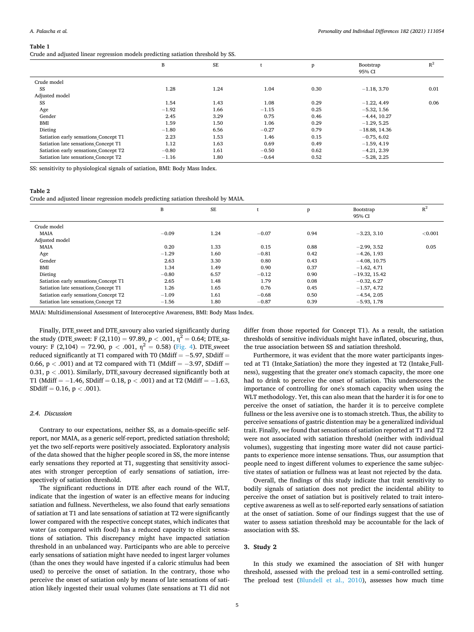<span id="page-4-0"></span>Crude and adjusted linear regression models predicting satiation threshold by SS.

|                                       | B       | <b>SE</b> |         | p    | Bootstrap<br>95% CI | $R^2$ |
|---------------------------------------|---------|-----------|---------|------|---------------------|-------|
| Crude model                           |         |           |         |      |                     |       |
| SS                                    | 1.28    | 1.24      | 1.04    | 0.30 | $-1.18, 3.70$       | 0.01  |
| Adjusted model                        |         |           |         |      |                     |       |
| SS                                    | 1.54    | 1.43      | 1.08    | 0.29 | $-1.22, 4.49$       | 0.06  |
| Age                                   | $-1.92$ | 1.66      | $-1.15$ | 0.25 | $-5.32, 1.56$       |       |
| Gender                                | 2.45    | 3.29      | 0.75    | 0.46 | $-4.44$ , 10.27     |       |
| BMI                                   | 1.59    | 1.50      | 1.06    | 0.29 | $-1.29.5.25$        |       |
| Dieting                               | $-1.80$ | 6.56      | $-0.27$ | 0.79 | $-18.88, 14.36$     |       |
| Satiation early sensations Concept T1 | 2.23    | 1.53      | 1.46    | 0.15 | $-0.75, 6.02$       |       |
| Satiation late sensations Concept T1  | 1.12    | 1.63      | 0.69    | 0.49 | $-1.59, 4.19$       |       |
| Satiation early sensations Concept T2 | $-0.80$ | 1.61      | $-0.50$ | 0.62 | $-4.21, 2.39$       |       |
| Satiation late sensations Concept T2  | $-1.16$ | 1.80      | $-0.64$ | 0.52 | $-5.28, 2.25$       |       |

SS: sensitivity to physiological signals of satiation, BMI: Body Mass Index.

## **Table 2**

Crude and adjusted linear regression models predicting satiation threshold by MAIA.

|                                       | B       | <b>SE</b> |         | p    | Bootstrap<br>95% CI | $R^2$   |
|---------------------------------------|---------|-----------|---------|------|---------------------|---------|
| Crude model                           |         |           |         |      |                     |         |
| <b>MAIA</b>                           | $-0.09$ | 1.24      | $-0.07$ | 0.94 | $-3.23, 3.10$       | < 0.001 |
| Adjusted model                        |         |           |         |      |                     |         |
| <b>MAIA</b>                           | 0.20    | 1.33      | 0.15    | 0.88 | $-2.99, 3.52$       | 0.05    |
| Age                                   | $-1.29$ | 1.60      | $-0.81$ | 0.42 | $-4.26, 1.93$       |         |
| Gender                                | 2.63    | 3.30      | 0.80    | 0.43 | $-4.08, 10.75$      |         |
| BMI                                   | 1.34    | 1.49      | 0.90    | 0.37 | $-1.62, 4.71$       |         |
| Dieting                               | $-0.80$ | 6.57      | $-0.12$ | 0.90 | $-19.32, 15.42$     |         |
| Satiation early sensations Concept T1 | 2.65    | 1.48      | 1.79    | 0.08 | $-0.32, 6.27$       |         |
| Satiation late sensations Concept T1  | 1.26    | 1.65      | 0.76    | 0.45 | $-1.57, 4.72$       |         |
| Satiation early sensations Concept T2 | $-1.09$ | 1.61      | $-0.68$ | 0.50 | $-4.54, 2.05$       |         |
| Satiation late sensations Concept T2  | $-1.56$ | 1.80      | $-0.87$ | 0.39 | $-5.93, 1.78$       |         |

MAIA: Multidimensional Assessment of Interoceptive Awareness, BMI: Body Mass Index.

Finally, DTE\_sweet and DTE\_savoury also varied significantly during the study (DTE\_sweet: F (2,110) = 97.89,  $p < .001$ ,  $\eta^2 = 0.64$ ; DTE\_savoury: F (2,104) = 72.90,  $p < .001$ ,  $n^2 = 0.58$ ) [\(Fig. 4](#page-6-0)). DTE\_sweet reduced significantly at T1 compared with T0 (Mdiff  $= -5.97$ , SDdiff  $=$ 0.66, p < .001) and at T2 compared with T1 (Mdiff = −3.97, SDdiff = 0.31, p *<* .001). Similarly, DTE\_savoury decreased significantly both at T1 (Mdiff = − 1.46, SDdiff = 0.18, p *<* .001) and at T2 (Mdiff = − 1.63, SDdiff = 0.16, p *<* .001).

## *2.4. Discussion*

Contrary to our expectations, neither SS, as a domain-specific selfreport, nor MAIA, as a generic self-report, predicted satiation threshold; yet the two self-reports were positively associated. Exploratory analysis of the data showed that the higher people scored in SS, the more intense early sensations they reported at T1, suggesting that sensitivity associates with stronger perception of early sensations of satiation, irrespectively of satiation threshold.

The significant reductions in DTE after each round of the WLT, indicate that the ingestion of water is an effective means for inducing satiation and fullness. Nevertheless, we also found that early sensations of satiation at T1 and late sensations of satiation at T2 were significantly lower compared with the respective concept states, which indicates that water (as compared with food) has a reduced capacity to elicit sensations of satiation. This discrepancy might have impacted satiation threshold in an unbalanced way. Participants who are able to perceive early sensations of satiation might have needed to ingest larger volumes (than the ones they would have ingested if a caloric stimulus had been used) to perceive the onset of satiation. In the contrary, those who perceive the onset of satiation only by means of late sensations of satiation likely ingested their usual volumes (late sensations at T1 did not

differ from those reported for Concept T1). As a result, the satiation thresholds of sensitive individuals might have inflated, obscuring, thus, the true association between SS and satiation threshold.

Furthermore, it was evident that the more water participants ingested at T1 (Intake\_Satiation) the more they ingested at T2 (Intake\_Fullness), suggesting that the greater one's stomach capacity, the more one had to drink to perceive the onset of satiation. This underscores the importance of controlling for one's stomach capacity when using the WLT methodology. Yet, this can also mean that the harder it is for one to perceive the onset of satiation, the harder it is to perceive complete fullness or the less aversive one is to stomach stretch. Thus, the ability to perceive sensations of gastric distention may be a generalized individual trait. Finally, we found that sensations of satiation reported at T1 and T2 were not associated with satiation threshold (neither with individual volumes), suggesting that ingesting more water did not cause participants to experience more intense sensations. Thus, our assumption that people need to ingest different volumes to experience the same subjective states of satiation or fullness was at least not rejected by the data.

Overall, the findings of this study indicate that trait sensitivity to bodily signals of satiation does not predict the incidental ability to perceive the onset of satiation but is positively related to trait interoceptive awareness as well as to self-reported early sensations of satiation at the onset of satiation. Some of our findings suggest that the use of water to assess satiation threshold may be accountable for the lack of association with SS.

#### **3. Study 2**

In this study we examined the association of SH with hunger threshold, assessed with the preload test in a semi-controlled setting. The preload test [\(Blundell et al., 2010](#page-10-0)), assesses how much time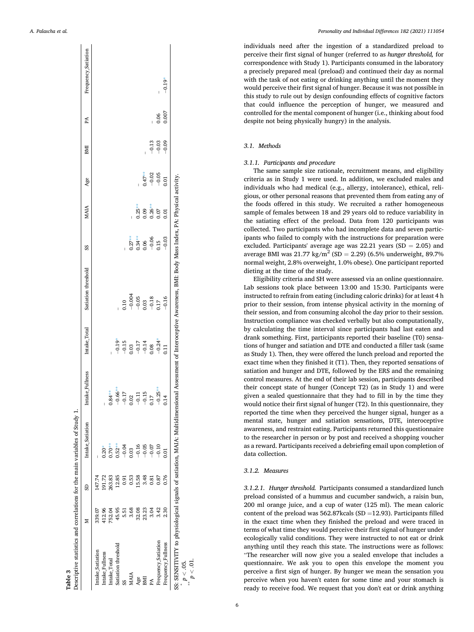<span id="page-5-0"></span>

|                     | ≥      | SD             | Intake Satiation | Intake Fullness | Intake Total                                                              | Satiation threshold                                                                                                                                               | SS                                    | <b>MAIA</b> | Age      | BMI     | PA    | Frequency_Satiation |
|---------------------|--------|----------------|------------------|-----------------|---------------------------------------------------------------------------|-------------------------------------------------------------------------------------------------------------------------------------------------------------------|---------------------------------------|-------------|----------|---------|-------|---------------------|
| Intake Satiation    | 339.07 | 147.74         |                  |                 |                                                                           |                                                                                                                                                                   |                                       |             |          |         |       |                     |
| Intake Fullness     | 412.96 | 191.72         | $0.20*$          |                 |                                                                           |                                                                                                                                                                   |                                       |             |          |         |       |                     |
| Intake Total        | 752.04 | 263.83         | $0.70**$         | $0.84**$        |                                                                           |                                                                                                                                                                   |                                       |             |          |         |       |                     |
| Satiation threshold | 45.95  | 12.85          | $0.52**$         | $-0.66**$       |                                                                           |                                                                                                                                                                   |                                       |             |          |         |       |                     |
|                     |        | 5<br>0.91      | $-0.04$          | 0.17<br>Ī       |                                                                           |                                                                                                                                                                   |                                       |             |          |         |       |                     |
| MAIA                |        | 0.53           | 0.03             | 0.02            | $-0.19$<br>$-0.15$<br>$-0.03$<br>$-0.17$<br>$-0.14$<br>$-0.24$<br>$-0.24$ | $\begin{array}{r} 0.10 \\ -0.004 \\ -0.05 \\ 0.03 \end{array}$                                                                                                    | $0.27**$                              |             |          |         |       |                     |
| Age                 | 32.08  | 15.58          | $-0.16$          | $-0.11$         |                                                                           |                                                                                                                                                                   |                                       | $0.25**$    |          |         |       |                     |
| EМІ                 | 23.23  | 3.48           | $-0.05$          | 0.15<br>Ī       |                                                                           |                                                                                                                                                                   |                                       | 0.09        | $0.47**$ |         |       |                     |
|                     | 3.04   | $\frac{81}{2}$ | $-0.07$          | $\overline{17}$ |                                                                           | $\begin{array}{c} -0.18 \\ 0.17 \end{array}$                                                                                                                      | $0.34**$<br>$0.06$<br>$-0.05$<br>0.15 | $0.26**$    | $-0.02$  | $-0.13$ |       |                     |
| Frequency_Satiation | 3.42   | 0.87           | $-0.10$          | $0.25**$<br>Ī   |                                                                           |                                                                                                                                                                   |                                       | 0.07        | $-0.05$  | $-0.03$ | 0.06  |                     |
| Frequency Fullness  | 2.30   | 0.76           | 0.01             |                 | $\overline{0.11}$                                                         | $-0.16$                                                                                                                                                           | $-0.03$                               | 0.01        | 0.01     | $-0.09$ | 0.007 | $-0.19*$            |
|                     |        |                |                  |                 |                                                                           | SS: SENSITIVITY to physiological signals of satiation, MAIA: Multidimensional Assessment of Interoceptive Awareness, BMI: Body Mass Index, PA: Physical activity. |                                       |             |          |         |       |                     |
| $p < .05$ .         |        |                |                  |                 |                                                                           |                                                                                                                                                                   |                                       |             |          |         |       |                     |
| 幸幸                  |        |                |                  |                 |                                                                           |                                                                                                                                                                   |                                       |             |          |         |       |                     |

**Table 3** 

*Personality and Individual Differences 182 (2021) 111054*

individuals need after the ingestion of a standardized preload to perceive their first signal of hunger (referred to as *hunger threshold,* for correspondence with Study 1). Participants consumed in the laboratory a precisely prepared meal (preload) and continued their day as normal with the task of not eating or drinking anything until the moment they would perceive their first signal of hunger. Because it was not possible in this study to rule out by design confounding effects of cognitive factors that could influence the perception of hunger, we measured and controlled for the mental component of hunger (i.e., thinking about food despite not being physically hungry) in the analysis.

## *3.1. Methods*

## *3.1.1. Participants and procedure*

The same sample size rationale, recruitment means, and eligibility criteria as in Study 1 were used. In addition, we excluded males and individuals who had medical (e.g., allergy, intolerance), ethical, religious, or other personal reasons that prevented them from eating any of the foods offered in this study. We recruited a rather homogeneous sample of females between 18 and 29 years old to reduce variability in the satiating effect of the preload. Data from 120 participants was collected. Two participants who had incomplete data and seven participants who failed to comply with the instructions for preparation were excluded. Participants' average age was  $22.21$  years (SD = 2.05) and average BMI was  $21.77 \text{ kg/m}^2 \text{ (SD = 2.29)} (6.5\% \text{ underweight}, 89.7\%)$ normal weight, 2.8% overweight, 1.0% obese). One participant reported dieting at the time of the study.

Eligibility criteria and SH were assessed via an online questionnaire. Lab sessions took place between 13:00 and 15:30. Participants were instructed to refrain from eating (including caloric drinks) for at least 4 h prior to their session, from intense physical activity in the morning of their session, and from consuming alcohol the day prior to their session. Instruction compliance was checked verbally but also computationally, by calculating the time interval since participants had last eaten and drank something. First, participants reported their baseline (T0) sensations of hunger and satiation and DTE and conducted a filler task (same as Study 1). Then, they were offered the lunch preload and reported the exact time when they finished it (T1). Then, they reported sensations of satiation and hunger and DTE, followed by the ERS and the remaining control measures. At the end of their lab session, participants described their concept state of hunger (Concept T2) (as in Study 1) and were given a sealed questionnaire that they had to fill in by the time they would notice their first signal of hunger (T2). In this questionnaire, they reported the time when they perceived the hunger signal, hunger as a mental state, hunger and satiation sensations, DTE, interoceptive awareness, and restraint eating. Participants returned this questionnaire to the researcher in person or by post and received a shopping voucher as a reward. Participants received a debriefing email upon completion of data collection.

## *3.1.2. Measures*

*3.1.2.1. Hunger threshold.* Participants consumed a standardized lunch preload consisted of a hummus and cucumber sandwich, a raisin bun, 200 ml orange juice, and a cup of water (125 ml). The mean caloric content of the preload was  $562.87$ kcals (SD =12.93). Participants filled in the exact time when they finished the preload and were traced in terms of what time they would perceive their first signal of hunger under ecologically valid conditions. They were instructed to not eat or drink anything until they reach this state. The instructions were as follows: "The researcher will now give you a sealed envelope that includes a questionnaire. We ask you to open this envelope the moment you perceive a first sign of hunger. By hunger we mean the sensation you perceive when you haven't eaten for some time and your stomach is ready to receive food. We request that you don't eat or drink anything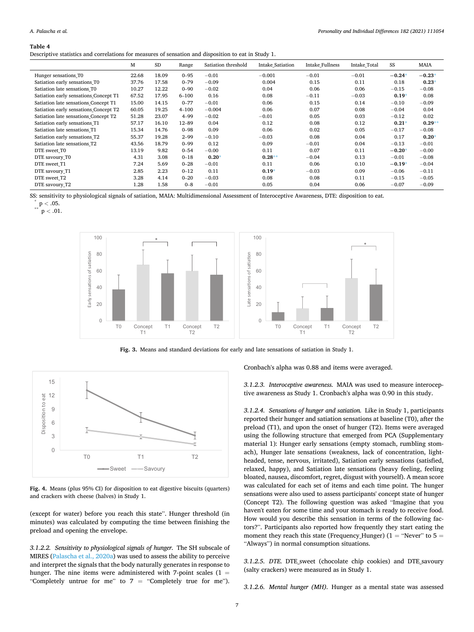#### <span id="page-6-0"></span>**Table 4**

Descriptive statistics and correlations for measures of sensation and disposition to eat in Study 1.

|                                       | M     | <b>SD</b> | Range     | Satiation threshold | Intake Satiation | Intake Fullness | Intake Total | SS       | <b>MAIA</b> |
|---------------------------------------|-------|-----------|-----------|---------------------|------------------|-----------------|--------------|----------|-------------|
| Hunger sensations T0                  | 22.68 | 18.09     | $0 - 95$  | $-0.01$             | $-0.001$         | $-0.01$         | $-0.01$      | $-0.24*$ | $-0.23*$    |
| Satiation early sensations T0         | 37.76 | 17.58     | $0 - 79$  | $-0.09$             | 0.004            | 0.15            | 0.11         | 0.18     | $0.23*$     |
| Satiation late sensations T0          | 10.27 | 12.22     | $0 - 90$  | $-0.02$             | 0.04             | 0.06            | 0.06         | $-0.15$  | $-0.08$     |
| Satiation early sensations Concept T1 | 67.52 | 17.95     | $6 - 100$ | 0.16                | 0.08             | $-0.11$         | $-0.03$      | $0.19*$  | 0.08        |
| Satiation late sensations Concept T1  | 15.00 | 14.15     | $0 - 77$  | $-0.01$             | 0.06             | 0.15            | 0.14         | $-0.10$  | $-0.09$     |
| Satiation early sensations Concept T2 | 60.05 | 19.25     | $4 - 100$ | $-0.004$            | 0.06             | 0.07            | 0.08         | $-0.04$  | 0.04        |
| Satiation late sensations Concept T2  | 51.28 | 23.07     | $4 - 99$  | $-0.02$             | $-0.01$          | 0.05            | 0.03         | $-0.12$  | 0.02        |
| Satiation early sensations T1         | 57.17 | 16.10     | $12 - 89$ | 0.04                | 0.12             | 0.08            | 0.12         | $0.21*$  | $0.29**$    |
| Satiation late sensations T1          | 15.34 | 14.76     | $0 - 98$  | 0.09                | 0.06             | 0.02            | 0.05         | $-0.17$  | $-0.08$     |
| Satiation early sensations T2         | 55.37 | 19.28     | $2 - 99$  | $-0.10$             | $-0.03$          | 0.08            | 0.04         | 0.17     | $0.20*$     |
| Satiation late sensations_T2          | 43.56 | 18.79     | $0 - 99$  | 0.12                | 0.09             | $-0.01$         | 0.04         | $-0.13$  | $-0.01$     |
| DTE sweet T0                          | 13.19 | 9.82      | $0 - 54$  | $-0.00$             | 0.11             | 0.07            | 0.11         | $-0.20*$ | $-0.00$     |
| DTE savoury T0                        | 4.31  | 3.08      | $0 - 18$  | $0.20*$             | $0.28**$         | $-0.04$         | 0.13         | $-0.01$  | $-0.08$     |
| DTE sweet T1                          | 7.24  | 5.69      | $0 - 28$  | $-0.01$             | 0.11             | 0.06            | 0.10         | $-0.19*$ | $-0.04$     |
| DTE savoury_T1                        | 2.85  | 2.23      | $0 - 12$  | 0.11                | $0.19*$          | $-0.03$         | 0.09         | $-0.06$  | $-0.11$     |
| DTE sweet T2                          | 3.28  | 4.14      | $0 - 20$  | $-0.03$             | 0.08             | 0.08            | 0.11         | $-0.15$  | $-0.05$     |
| DTE savoury_T2                        | 1.28  | 1.58      | $0 - 8$   | $-0.01$             | 0.05             | 0.04            | 0.06         | $-0.07$  | $-0.09$     |

SS: sensitivity to physiological signals of satiation, MAIA: Multidimensional Assessment of Interoceptive Awareness, DTE: disposition to eat. \* <sup>p</sup>*<sup>&</sup>lt;* .05. \*\* <sup>p</sup>*<sup>&</sup>lt;* .01.



**Fig. 3.** Means and standard deviations for early and late sensations of satiation in Study 1.



**Fig. 4.** Means (plus 95% CI) for disposition to eat digestive biscuits (quarters) and crackers with cheese (halves) in Study 1.

(except for water) before you reach this state". Hunger threshold (in minutes) was calculated by computing the time between finishing the preload and opening the envelope.

*3.1.2.2. Sensitivity to physiological signals of hunger.* The SH subscale of MIRES [\(Palascha et al., 2020a](#page-11-0)) was used to assess the ability to perceive and interpret the signals that the body naturally generates in response to hunger. The nine items were administered with 7-point scales  $(1 =$ "Completely untrue for me" to 7 = "Completely true for me"). Cronbach's alpha was 0.88 and items were averaged.

*3.1.2.3. Interoceptive awareness.* MAIA was used to measure interoceptive awareness as Study 1. Cronbach's alpha was 0.90 in this study.

*3.1.2.4. Sensations of hunger and satiation.* Like in Study 1, participants reported their hunger and satiation sensations at baseline (T0), after the preload (T1), and upon the onset of hunger (T2). Items were averaged using the following structure that emerged from PCA (Supplementary material 1): Hunger early sensations (empty stomach, rumbling stomach), Hunger late sensations (weakness, lack of concentration, lightheaded, tense, nervous, irritated), Satiation early sensations (satisfied, relaxed, happy), and Satiation late sensations (heavy feeling, feeling bloated, nausea, discomfort, regret, disgust with yourself). A mean score was calculated for each set of items and each time point. The hunger sensations were also used to assess participants' concept state of hunger (Concept T2). The following question was asked "Imagine that you haven't eaten for some time and your stomach is ready to receive food. How would you describe this sensation in terms of the following factors?". Participants also reported how frequently they start eating the moment they reach this state (Frequency Hunger) (1 = "Never" to  $5 =$ "Always") in normal consumption situations.

*3.1.2.5. DTE.* DTE\_sweet (chocolate chip cookies) and DTE\_savoury (salty crackers) were measured as in Study 1.

*3.1.2.6. Mental hunger (MH).* Hunger as a mental state was assessed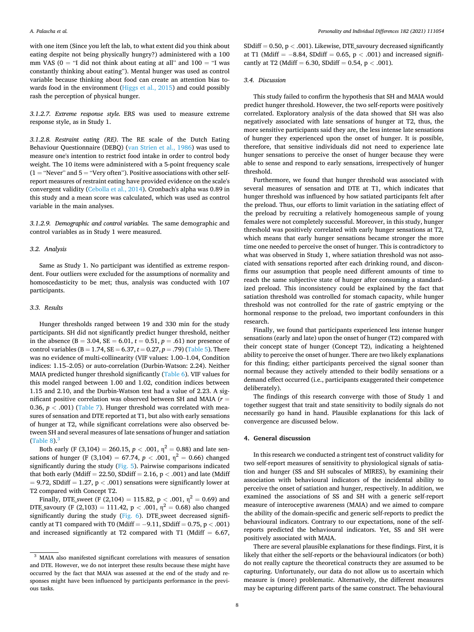with one item (Since you left the lab, to what extent did you think about eating despite not being physically hungry?) administered with a 100 mm VAS ( $0 =$  "I did not think about eating at all" and  $100 =$  "I was constantly thinking about eating"). Mental hunger was used as control variable because thinking about food can create an attention bias towards food in the environment ([Higgs et al., 2015\)](#page-10-0) and could possibly rash the perception of physical hunger.

*3.1.2.7. Extreme response style.* ERS was used to measure extreme response style, as in Study 1.

*3.1.2.8. Restraint eating (RE).* The RE scale of the Dutch Eating Behaviour Questionnaire (DEBQ) [\(van Strien et al., 1986\)](#page-11-0) was used to measure one's intention to restrict food intake in order to control body weight. The 10 items were administered with a 5-point frequency scale  $(1 = "Never" and 5 = "Very often"). Positive associations with other self$ report measures of restraint eating have provided evidence on the scale's convergent validity ([Cebolla et al., 2014](#page-10-0)). Cronbach's alpha was 0.89 in this study and a mean score was calculated, which was used as control variable in the main analyses.

*3.1.2.9. Demographic and control variables.* The same demographic and control variables as in Study 1 were measured.

#### *3.2. Analysis*

Same as Study 1. No participant was identified as extreme respondent. Four outliers were excluded for the assumptions of normality and homoscedasticity to be met; thus, analysis was conducted with 107 participants.

## *3.3. Results*

Hunger thresholds ranged between 19 and 330 min for the study participants. SH did not significantly predict hunger threshold, neither in the absence ( $B = 3.04$ ,  $SE = 6.01$ ,  $t = 0.51$ ,  $p = .61$ ) nor presence of control variables ( $B = 1.74$ ,  $SE = 6.37$ ,  $t = 0.27$ ,  $p = .79$ ) ([Table 5\)](#page-8-0). There was no evidence of multi-collinearity (VIF values: 1.00–1.04, Condition indices: 1.15–2.05) or auto-correlation (Durbin-Watson: 2.24). Neither MAIA predicted hunger threshold significantly [\(Table 6](#page-8-0)). VIF values for this model ranged between 1.00 and 1.02, condition indices between 1.15 and 2.10, and the Durbin-Watson test had a value of 2.23. A significant positive correlation was observed between SH and MAIA (*r* = 0.36,  $p < .001$ ) [\(Table 7](#page-8-0)). Hunger threshold was correlated with measures of sensation and DTE reported at T1, but also with early sensations of hunger at T2, while significant correlations were also observed between SH and several measures of late sensations of hunger and satiation ([Table 8](#page-9-0)). $3$ 

Both early (F (3,104) = 260.15,  $p < .001$ ,  $\eta^2 = 0.88$ ) and late sensations of hunger (F (3,104) = 67.74,  $p < .001$ ,  $\eta^2 = 0.66$ ) changed significantly during the study [\(Fig. 5\)](#page-9-0). Pairwise comparisons indicated that both early (Mdiff = 22.50, SDdiff =  $2.16$ ,  $p < .001$ ) and late (Mdiff  $= 9.72$ , SDdiff  $= 1.27$ ,  $p < .001$ ) sensations were significantly lower at T2 compared with Concept T2.

Finally, DTE\_sweet (F (2,104) = 115.82, p < .001,  $\eta^2 = 0.69$ ) and DTE\_savoury (F (2,103) = 111.42,  $p < .001$ ,  $\eta^2 = 0.68$ ) also changed significantly during the study [\(Fig. 6\)](#page-9-0). DTE\_sweet decreased significantly at T1 compared with T0 (Mdiff = − 9.11, SDdiff = 0.75, p *<* .001) and increased significantly at T2 compared with T1 (Mdiff  $= 6.67$ ,

SDdiff  $= 0.50$ ,  $p < .001$ ). Likewise, DTE savoury decreased significantly at T1 (Mdiff = − 8.84, SDdiff = 0.65, p *<* .001) and increased significantly at T2 (Mdiff = 6.30, SDdiff = 0.54, p *<* .001).

#### *3.4. Discussion*

This study failed to confirm the hypothesis that SH and MAIA would predict hunger threshold. However, the two self-reports were positively correlated. Exploratory analysis of the data showed that SH was also negatively associated with late sensations of hunger at T2, thus, the more sensitive participants said they are, the less intense late sensations of hunger they experienced upon the onset of hunger. It is possible, therefore, that sensitive individuals did not need to experience late hunger sensations to perceive the onset of hunger because they were able to sense and respond to early sensations, irrespectively of hunger threshold.

Furthermore, we found that hunger threshold was associated with several measures of sensation and DTE at T1, which indicates that hunger threshold was influenced by how satiated participants felt after the preload. Thus, our efforts to limit variation in the satiating effect of the preload by recruiting a relatively homogeneous sample of young females were not completely successful. Moreover, in this study, hunger threshold was positively correlated with early hunger sensations at T2, which means that early hunger sensations became stronger the more time one needed to perceive the onset of hunger. This is contradictory to what was observed in Study 1, where satiation threshold was not associated with sensations reported after each drinking round, and disconfirms our assumption that people need different amounts of time to reach the same subjective state of hunger after consuming a standardized preload. This inconsistency could be explained by the fact that satiation threshold was controlled for stomach capacity, while hunger threshold was not controlled for the rate of gastric emptying or the hormonal response to the preload, two important confounders in this research.

Finally, we found that participants experienced less intense hunger sensations (early and late) upon the onset of hunger (T2) compared with their concept state of hunger (Concept T2), indicating a heightened ability to perceive the onset of hunger. There are two likely explanations for this finding; either participants perceived the signal sooner than normal because they actively attended to their bodily sensations or a demand effect occurred (i.e., participants exaggerated their competence deliberately).

The findings of this research converge with those of Study 1 and together suggest that trait and state sensitivity to bodily signals do not necessarily go hand in hand. Plausible explanations for this lack of convergence are discussed below.

# **4. General discussion**

In this research we conducted a stringent test of construct validity for two self-report measures of sensitivity to physiological signals of satiation and hunger (SS and SH subscales of MIRES), by examining their association with behavioural indicators of the incidental ability to perceive the onset of satiation and hunger, respectively. In addition, we examined the associations of SS and SH with a generic self-report measure of interoceptive awareness (MAIA) and we aimed to compare the ability of the domain-specific and generic self-reports to predict the behavioural indicators. Contrary to our expectations, none of the selfreports predicted the behavioural indicators. Yet, SS and SH were positively associated with MAIA.

There are several plausible explanations for these findings. First, it is likely that either the self-reports or the behavioural indicators (or both) do not really capture the theoretical constructs they are assumed to be capturing. Unfortunately, our data do not allow us to ascertain which measure is (more) problematic. Alternatively, the different measures may be capturing different parts of the same construct. The behavioural

<sup>&</sup>lt;sup>3</sup> MAIA also manifested significant correlations with measures of sensation and DTE. However, we do not interpret these results because these might have occurred by the fact that MAIA was assessed at the end of the study and responses might have been influenced by participants performance in the previous tasks.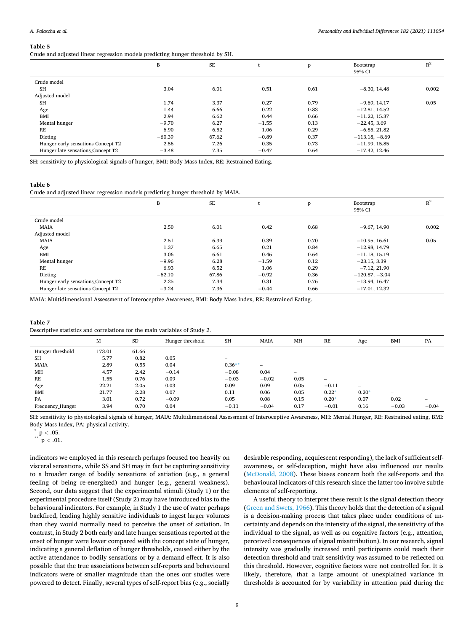<span id="page-8-0"></span>Crude and adjusted linear regression models predicting hunger threshold by SH.

|                                    | B        | SE    |         | $\mathbf{p}$ | Bootstrap<br>95% CI | $R^2$ |
|------------------------------------|----------|-------|---------|--------------|---------------------|-------|
| Crude model                        |          |       |         |              |                     |       |
| SH                                 | 3.04     | 6.01  | 0.51    | 0.61         | $-8.30, 14.48$      | 0.002 |
| Adjusted model                     |          |       |         |              |                     |       |
| <b>SH</b>                          | 1.74     | 3.37  | 0.27    | 0.79         | $-9.69.14.17$       | 0.05  |
| Age                                | 1.44     | 6.66  | 0.22    | 0.83         | $-12.81, 14.52$     |       |
| BMI                                | 2.94     | 6.62  | 0.44    | 0.66         | $-11.22, 15.37$     |       |
| Mental hunger                      | $-9.70$  | 6.27  | $-1.55$ | 0.13         | $-22.45, 3.69$      |       |
| RE                                 | 6.90     | 6.52  | 1.06    | 0.29         | $-6.85, 21.82$      |       |
| Dieting                            | $-60.39$ | 67.62 | $-0.89$ | 0.37         | $-113.18, -8.69$    |       |
| Hunger early sensations Concept T2 | 2.56     | 7.26  | 0.35    | 0.73         | $-11.99, 15.85$     |       |
| Hunger late sensations Concept T2  | $-3.48$  | 7.35  | $-0.47$ | 0.64         | $-17.42, 12.46$     |       |

SH: sensitivity to physiological signals of hunger, BMI: Body Mass Index, RE: Restrained Eating.

#### **Table 6**

Crude and adjusted linear regression models predicting hunger threshold by MAIA.

|                                    | B        | $\rm SE$ |         | p    | Bootstrap<br>95% CI | $R^2$ |
|------------------------------------|----------|----------|---------|------|---------------------|-------|
| Crude model                        |          |          |         |      |                     |       |
| <b>MAIA</b>                        | 2.50     | 6.01     | 0.42    | 0.68 | $-9.67, 14.90$      | 0.002 |
| Adjusted model                     |          |          |         |      |                     |       |
| <b>MAIA</b>                        | 2.51     | 6.39     | 0.39    | 0.70 | $-10.95, 16.61$     | 0.05  |
| Age                                | 1.37     | 6.65     | 0.21    | 0.84 | $-12.98, 14.79$     |       |
| <b>BMI</b>                         | 3.06     | 6.61     | 0.46    | 0.64 | $-11.18, 15.19$     |       |
| Mental hunger                      | $-9.96$  | 6.28     | $-1.59$ | 0.12 | $-23.15, 3.39$      |       |
| RE                                 | 6.93     | 6.52     | 1.06    | 0.29 | $-7.12, 21.90$      |       |
| Dieting                            | $-62.10$ | 67.86    | $-0.92$ | 0.36 | $-120.87, -3.04$    |       |
| Hunger early sensations Concept T2 | 2.25     | 7.34     | 0.31    | 0.76 | $-13.94, 16.47$     |       |
| Hunger late sensations Concept T2  | $-3.24$  | 7.36     | $-0.44$ | 0.66 | $-17.01, 12.32$     |       |

MAIA: Multidimensional Assessment of Interoceptive Awareness, BMI: Body Mass Index, RE: Restrained Eating.

| Table 7                                                                    |  |
|----------------------------------------------------------------------------|--|
| Descriptive statistics and correlations for the main variables of Study 2. |  |

|                  | M      | <b>SD</b> | Hunger threshold         | <b>SH</b>                | <b>MAIA</b> | MH                              | RE              | Age     | <b>BMI</b> | PA      |
|------------------|--------|-----------|--------------------------|--------------------------|-------------|---------------------------------|-----------------|---------|------------|---------|
| Hunger threshold | 173.01 | 61.66     | $\overline{\phantom{0}}$ |                          |             |                                 |                 |         |            |         |
| <b>SH</b>        | 5.77   | 0.82      | 0.05                     | $\overline{\phantom{m}}$ |             |                                 |                 |         |            |         |
| <b>MAIA</b>      | 2.89   | 0.55      | 0.04                     | $0.36**$                 | -           |                                 |                 |         |            |         |
| MH               | 4.57   | 2.42      | $-0.14$                  | $-0.08$                  | 0.04        | $\hspace{0.1mm}-\hspace{0.1mm}$ |                 |         |            |         |
| RE               | 1.55   | 0.76      | 0.09                     | $-0.03$                  | $-0.02$     | 0.05                            | $\qquad \qquad$ |         |            |         |
| Age              | 22.21  | 2.05      | 0.03                     | 0.09                     | 0.09        | 0.05                            | $-0.11$         | $-$     |            |         |
| BMI              | 21.77  | 2.28      | 0.07                     | 0.11                     | 0.06        | 0.05                            | $0.22*$         | $0.20*$ | $\sim$     |         |
| PA               | 3.01   | 0.72      | $-0.09$                  | 0.05                     | 0.08        | 0.15                            | $0.20*$         | 0.07    | 0.02       |         |
| Frequency Hunger | 3.94   | 0.70      | 0.04                     | $-0.11$                  | $-0.04$     | 0.17                            | $-0.01$         | 0.16    | $-0.03$    | $-0.04$ |

SH: sensitivity to physiological signals of hunger, MAIA: Multidimensional Assessment of Interoceptive Awareness, MH: Mental Hunger, RE: Restrained eating, BMI: Body Mass Index, PA: physical activity.<br> \* p < .05.<br>  $\sp{*}{\phantom{a}}^*$  p < .01.

indicators we employed in this research perhaps focused too heavily on visceral sensations, while SS and SH may in fact be capturing sensitivity to a broader range of bodily sensations of satiation (e.g., a general feeling of being re-energized) and hunger (e.g., general weakness). Second, our data suggest that the experimental stimuli (Study 1) or the experimental procedure itself (Study 2) may have introduced bias to the behavioural indicators. For example, in Study 1 the use of water perhaps backfired, leading highly sensitive individuals to ingest larger volumes than they would normally need to perceive the onset of satiation. In contrast, in Study 2 both early and late hunger sensations reported at the onset of hunger were lower compared with the concept state of hunger, indicating a general deflation of hunger thresholds, caused either by the active attendance to bodily sensations or by a demand effect. It is also possible that the true associations between self-reports and behavioural indicators were of smaller magnitude than the ones our studies were powered to detect. Finally, several types of self-report bias (e.g., socially

desirable responding, acquiescent responding), the lack of sufficient selfawareness, or self-deception, might have also influenced our results ([McDonald, 2008\)](#page-11-0). These biases concern both the self-reports and the behavioural indicators of this research since the latter too involve subtle elements of self-reporting.

A useful theory to interpret these result is the signal detection theory ([Green and Swets, 1966\)](#page-10-0). This theory holds that the detection of a signal is a decision-making process that takes place under conditions of uncertainty and depends on the intensity of the signal, the sensitivity of the individual to the signal, as well as on cognitive factors (e.g., attention, perceived consequences of signal misattribution). In our research, signal intensity was gradually increased until participants could reach their detection threshold and trait sensitivity was assumed to be reflected on this threshold. However, cognitive factors were not controlled for. It is likely, therefore, that a large amount of unexplained variance in thresholds is accounted for by variability in attention paid during the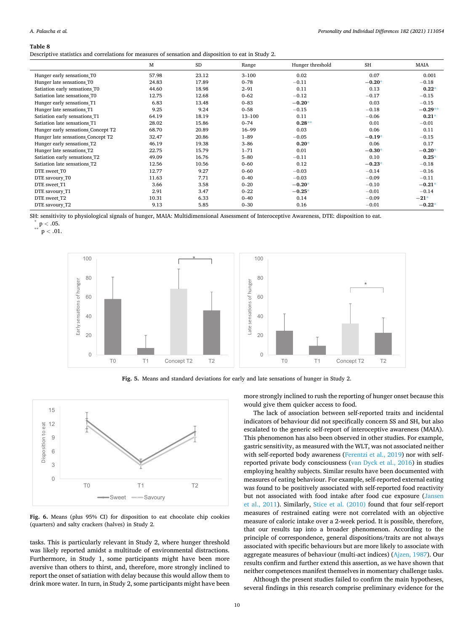#### <span id="page-9-0"></span>**Table 8**

Descriptive statistics and correlations for measures of sensation and disposition to eat in Study 2.

|                                    | M     | <b>SD</b> | Range     | Hunger threshold | <b>SH</b> | MAIA      |
|------------------------------------|-------|-----------|-----------|------------------|-----------|-----------|
| Hunger early sensations T0         | 57.98 | 23.12     | $3 - 100$ | 0.02             | 0.07      | 0.001     |
| Hunger late sensations T0          | 24.83 | 17.89     | $0 - 78$  | $-0.11$          | $-0.20*$  | $-0.18$   |
| Satiation early sensations T0      | 44.60 | 18.98     | $2 - 91$  | 0.11             | 0.13      | $0.22*$   |
| Satiation late sensations T0       | 12.75 | 12.68     | $0 - 62$  | $-0.12$          | $-0.17$   | $-0.15$   |
| Hunger early sensations T1         | 6.83  | 13.48     | $0 - 83$  | $-0.20*$         | 0.03      | $-0.15$   |
| Hunger late sensations T1          | 9.25  | 9.24      | $0 - 58$  | $-0.15$          | $-0.18$   | $-0.29**$ |
| Satiation early sensations T1      | 64.19 | 18.19     | 13-100    | 0.11             | $-0.06$   | $0.21*$   |
| Satiation late sensations T1       | 28.02 | 15.86     | $0 - 74$  | $0.28**$         | 0.01      | $-0.01$   |
| Hunger early sensations Concept T2 | 68.70 | 20.89     | $16 - 99$ | 0.03             | 0.06      | 0.11      |
| Hunger late sensations Concept T2  | 32.47 | 20.86     | $1 - 89$  | $-0.05$          | $-0.19*$  | $-0.15$   |
| Hunger early sensations T2         | 46.19 | 19.38     | $3 - 86$  | $0.20*$          | 0.06      | 0.17      |
| Hunger late sensations T2          | 22.75 | 15.79     | $1 - 71$  | 0.01             | $-0.30*$  | $-0.20*$  |
| Satiation early sensations T2      | 49.09 | 16.76     | $5 - 80$  | $-0.11$          | 0.10      | $0.25*$   |
| Satiation late sensations T2       | 12.56 | 10.56     | $0 - 60$  | 0.12             | $-0.23*$  | $-0.18$   |
| DTE sweet T0                       | 12.77 | 9.27      | $0 - 60$  | $-0.03$          | $-0.14$   | $-0.16$   |
| DTE savoury T0                     | 11.63 | 7.71      | $0 - 40$  | $-0.03$          | $-0.09$   | $-0.11$   |
| DTE sweet T1                       | 3.66  | 3.58      | $0 - 20$  | $-0.20*$         | $-0.10$   | $-0.21*$  |
| DTE savoury_T1                     | 2.91  | 3.47      | $0 - 22$  | $-0.25*$         | $-0.01$   | $-0.14$   |
| DTE sweet T2                       | 10.31 | 6.33      | $0 - 40$  | 0.14             | $-0.09$   | $-21*$    |
| DTE savoury_T2                     | 9.13  | 5.85      | $0 - 30$  | 0.16             | $-0.01$   | $-0.22*$  |

SH: sensitivity to physiological signals of hunger, MAIA: Multidimensional Assessment of Interoceptive Awareness, DTE: disposition to eat.<br>
\*\* p < .05.<br>
\*\* p < .01.



**Fig. 5.** Means and standard deviations for early and late sensations of hunger in Study 2.



**Fig. 6.** Means (plus 95% CI) for disposition to eat chocolate chip cookies (quarters) and salty crackers (halves) in Study 2.

tasks. This is particularly relevant in Study 2, where hunger threshold was likely reported amidst a multitude of environmental distractions. Furthermore, in Study 1, some participants might have been more aversive than others to thirst, and, therefore, more strongly inclined to report the onset of satiation with delay because this would allow them to drink more water. In turn, in Study 2, some participants might have been more strongly inclined to rush the reporting of hunger onset because this would give them quicker access to food.

The lack of association between self-reported traits and incidental indicators of behaviour did not specifically concern SS and SH, but also escalated to the generic self-report of interoceptive awareness (MAIA). This phenomenon has also been observed in other studies. For example, gastric sensitivity, as measured with the WLT, was not associated neither with self-reported body awareness ([Ferentzi et al., 2019\)](#page-10-0) nor with selfreported private body consciousness [\(van Dyck et al., 2016\)](#page-11-0) in studies employing healthy subjects. Similar results have been documented with measures of eating behaviour. For example, self-reported external eating was found to be positively associated with self-reported food reactivity but not associated with food intake after food cue exposure ([Jansen](#page-11-0)  [et al., 2011](#page-11-0)). Similarly, [Stice et al. \(2010\)](#page-11-0) found that four self-report measures of restrained eating were not correlated with an objective measure of caloric intake over a 2-week period. It is possible, therefore, that our results tap into a broader phenomenon. According to the principle of correspondence, general dispositions/traits are not always associated with specific behaviours but are more likely to associate with aggregate measures of behaviour (multi-act indices) ([Ajzen, 1987\)](#page-10-0). Our results confirm and further extend this assertion, as we have shown that neither competences manifest themselves in momentary challenge tasks.

Although the present studies failed to confirm the main hypotheses, several findings in this research comprise preliminary evidence for the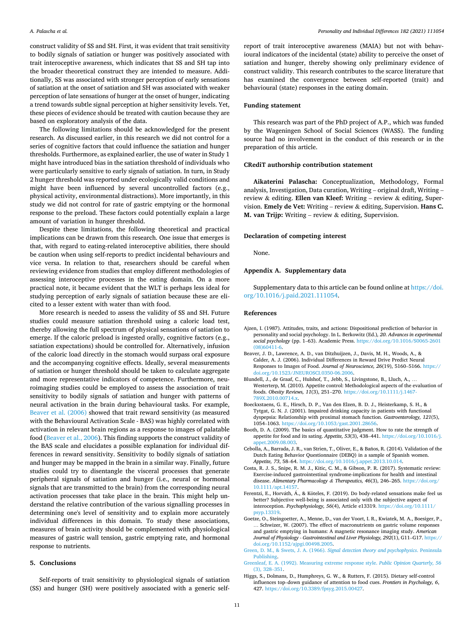<span id="page-10-0"></span>construct validity of SS and SH. First, it was evident that trait sensitivity to bodily signals of satiation or hunger was positively associated with trait interoceptive awareness, which indicates that SS and SH tap into the broader theoretical construct they are intended to measure. Additionally, SS was associated with stronger perception of early sensations of satiation at the onset of satiation and SH was associated with weaker perception of late sensations of hunger at the onset of hunger, indicating a trend towards subtle signal perception at higher sensitivity levels. Yet, these pieces of evidence should be treated with caution because they are based on exploratory analysis of the data.

The following limitations should be acknowledged for the present research. As discussed earlier, in this research we did not control for a series of cognitive factors that could influence the satiation and hunger thresholds. Furthermore, as explained earlier, the use of water in Study 1 might have introduced bias in the satiation threshold of individuals who were particularly sensitive to early signals of satiation. In turn, in Study 2 hunger threshold was reported under ecologically valid conditions and might have been influenced by several uncontrolled factors (e.g., physical activity, environmental distractions). More importantly, in this study we did not control for rate of gastric emptying or the hormonal response to the preload. These factors could potentially explain a large amount of variation in hunger threshold.

Despite these limitations, the following theoretical and practical implications can be drawn from this research. One issue that emerges is that, with regard to eating-related interoceptive abilities, there should be caution when using self-reports to predict incidental behaviours and vice versa. In relation to that, researchers should be careful when reviewing evidence from studies that employ different methodologies of assessing interoceptive processes in the eating domain. On a more practical note, it became evident that the WLT is perhaps less ideal for studying perception of early signals of satiation because these are elicited to a lesser extent with water than with food.

More research is needed to assess the validity of SS and SH. Future studies could measure satiation threshold using a caloric load test, thereby allowing the full spectrum of physical sensations of satiation to emerge. If the caloric preload is ingested orally, cognitive factors (e.g., satiation expectations) should be controlled for. Alternatively, infusion of the caloric load directly in the stomach would surpass oral exposure and the accompanying cognitive effects. Ideally, several measurements of satiation or hunger threshold should be taken to calculate aggregate and more representative indicators of competence. Furthermore, neuroimaging studies could be employed to assess the association of trait sensitivity to bodily signals of satiation and hunger with patterns of neural activation in the brain during behavioural tasks. For example, Beaver et al. (2006) showed that trait reward sensitivity (as measured with the Behavioural Activation Scale - BAS) was highly correlated with activation in relevant brain regions as a response to images of palatable food (Beaver et al., 2006). This finding supports the construct validity of the BAS scale and elucidates a possible explanation for individual differences in reward sensitivity. Sensitivity to bodily signals of satiation and hunger may be mapped in the brain in a similar way. Finally, future studies could try to disentangle the visceral processes that generate peripheral signals of satiation and hunger (i.e., neural or hormonal signals that are transmitted to the brain) from the corresponding neural activation processes that take place in the brain. This might help understand the relative contribution of the various signalling processes in determining one's level of sensitivity and to explain more accurately individual differences in this domain. To study these associations, measures of brain activity should be complemented with physiological measures of gastric wall tension, gastric emptying rate, and hormonal response to nutrients.

## **5. Conclusions**

Self-reports of trait sensitivity to physiological signals of satiation (SS) and hunger (SH) were positively associated with a generic selfreport of trait interoceptive awareness (MAIA) but not with behavioural indicators of the incidental (state) ability to perceive the onset of satiation and hunger, thereby showing only preliminary evidence of construct validity. This research contributes to the scarce literature that has examined the convergence between self-reported (trait) and behavioural (state) responses in the eating domain.

## **Funding statement**

This research was part of the PhD project of A.P., which was funded by the Wageningen School of Social Sciences (WASS). The funding source had no involvement in the conduct of this research or in the preparation of this article.

## **CRediT authorship contribution statement**

**Aikaterini Palascha:** Conceptualization, Methodology, Formal analysis, Investigation, Data curation, Writing – original draft, Writing – review & editing. **Ellen van Kleef:** Writing – review & editing, Supervision. **Emely de Vet:** Writing – review & editing, Supervision. **Hans C. M. van Trijp:** Writing – review & editing, Supervision.

## **Declaration of competing interest**

None.

#### **Appendix A. Supplementary data**

Supplementary data to this article can be found online at [https://doi.](https://doi.org/10.1016/j.paid.2021.111054)  [org/10.1016/j.paid.2021.111054.](https://doi.org/10.1016/j.paid.2021.111054)

#### **References**

- Ajzen, I. (1987). Attitudes, traits, and actions: Dispositional prediction of behavior in personality and social psychology. In L. Berkowitz (Ed.)*, 20*. *Advances in experimental social psychology* (pp. 1–63). Academic Press. [https://doi.org/10.1016/S0065-2601](https://doi.org/10.1016/S0065-2601(08)60411-6) [\(08\)60411-6](https://doi.org/10.1016/S0065-2601(08)60411-6).
- Beaver, J. D., Lawrence, A. D., van Ditzhuijzen, J., Davis, M. H., Woods, A., & Calder, A. J. (2006). Individual Differences in Reward Drive Predict Neural Responses to Images of Food. *Journal of Neuroscience, 26*(19), 5160–5166. [https://](https://doi.org/10.1523/JNEUROSCI.0350-06.2006) [doi.org/10.1523/JNEUROSCI.0350-06.2006.](https://doi.org/10.1523/JNEUROSCI.0350-06.2006)
- Blundell, J., de Graaf, C., Hulshof, T., Jebb, S., Livingstone, B., Lluch, A., … Westerterp, M. (2010). Appetite control: Methodological aspects of the evaluation of foods. *Obesity Reviews, 11*(3), 251–270. [https://doi.org/10.1111/j.1467-](https://doi.org/10.1111/j.1467-789X.2010.00714.x) [789X.2010.00714.x](https://doi.org/10.1111/j.1467-789X.2010.00714.x).
- Boeckxstaens, G. E., Hirsch, D. P., Van den Elzen, B. D. J., Heisterkamp, S. H., & Tytgat, G. N. J. (2001). Impaired drinking capacity in patients with functional dyspepsia: Relationship with proximal stomach function. *Gastroenterology, 121*(5), 1054–1063.<https://doi.org/10.1053/gast.2001.28656>.
- Booth, D. A. (2009). The basics of quantitative judgment. How to rate the strength of appetite for food and its sating. *Appetite, 53*(3), 438–441. [https://doi.org/10.1016/j.](https://doi.org/10.1016/j.appet.2009.08.003)  [appet.2009.08.003.](https://doi.org/10.1016/j.appet.2009.08.003)
- Cebolla, A., Barrada, J. R., van Strien, T., Oliver, E., & Baños, R. (2014). Validation of the Dutch Eating Behavior Questionnaire (DEBQ) in a sample of Spanish women. *Appetite, 73*, 58–64. <https://doi.org/10.1016/j.appet.2013.10.014>.
- Costa, R. J. S., Snipe, R. M. J., Kitic, C. M., & Gibson, P. R. (2017). Systematic review: Exercise-induced gastrointestinal syndrome-implications for health and intestinal disease. *Alimentary Pharmacology & Therapeutics, 46*(3), 246–265. [https://doi.org/](https://doi.org/10.1111/apt.14157) [10.1111/apt.14157.](https://doi.org/10.1111/apt.14157)
- Ferentzi, E., Horváth, Á., & Köteles, F. (2019). Do body-related sensations make feel us better? Subjective well-being is associated only with the subjective aspect of interoception. *Psychophysiology, 56*(4), Article e13319. [https://doi.org/10.1111/](https://doi.org/10.1111/psyp.13319) [psyp.13319](https://doi.org/10.1111/psyp.13319).
- Goetze, O., Steingoetter, A., Menne, D., van der Voort, I. R., Kwiatek, M. A., Boesiger, P., … Schwizer, W. (2007). The effect of macronutrients on gastric volume responses and gastric emptying in humans: A magnetic resonance imaging study. *American Journal of Physiology - Gastrointestinal and Liver Physiology, 292*(1), G11–G17. [https://](https://doi.org/10.1152/ajpgi.00498.2005)  [doi.org/10.1152/ajpgi.00498.2005](https://doi.org/10.1152/ajpgi.00498.2005).
- Green, D. M., & Swets, J. A. (1966). *[Signal detection theory and psychophysics](http://refhub.elsevier.com/S0191-8869(21)00431-1/rf0045)*. Peninsula [Publishing](http://refhub.elsevier.com/S0191-8869(21)00431-1/rf0045).
- [Greenleaf, E. A. \(1992\). Measuring extreme response style.](http://refhub.elsevier.com/S0191-8869(21)00431-1/rf0050) *Public Opinion Quarterly, 56*  [\(3\), 328](http://refhub.elsevier.com/S0191-8869(21)00431-1/rf0050)–351.
- Higgs, S., Dolmans, D., Humphreys, G. W., & Rutters, F. (2015). Dietary self-control influences top–down guidance of attention to food cues. *Frontiers in Psychology, 6*, 427. [https://doi.org/10.3389/fpsyg.2015.00427.](https://doi.org/10.3389/fpsyg.2015.00427)